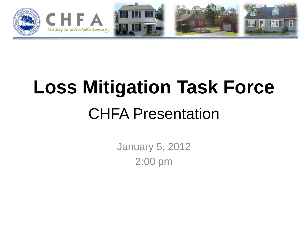

# **Loss Mitigation Task Force** CHFA Presentation

January 5, 2012 2:00 pm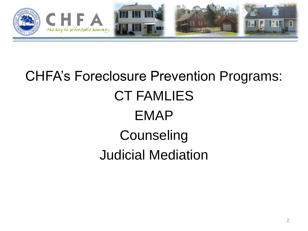

## CHFA's Foreclosure Prevention Programs: CT FAMLIES EMAP **Counseling** Judicial Mediation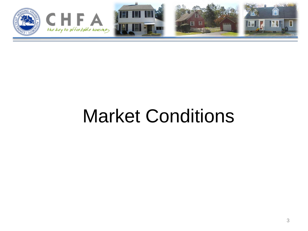

# Market Conditions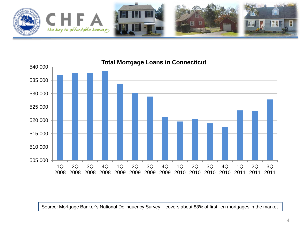

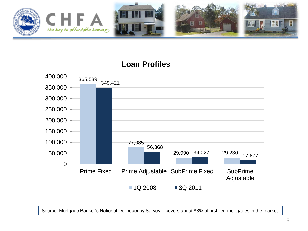

#### **Loan Profiles**

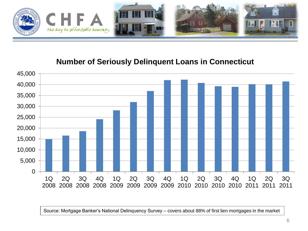

#### **Number of Seriously Delinquent Loans in Connecticut**

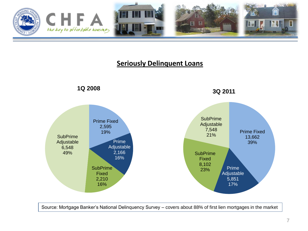

#### **Seriously Delinquent Loans**

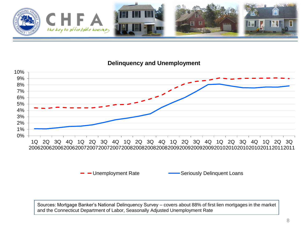

#### **Delinquency and Unemployment**



#### - Unemployment Rate Seriously Delinquent Loans

Sources: Mortgage Banker's National Delinquency Survey – covers about 88% of first lien mortgages in the market and the Connecticut Department of Labor, Seasonally Adjusted Unemployment Rate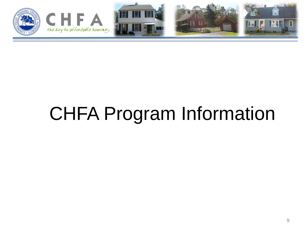

# CHFA Program Information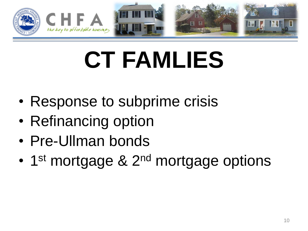

# **CT FAMLIES**

- Response to subprime crisis
- Refinancing option
- Pre-Ullman bonds
- 1<sup>st</sup> mortgage & 2<sup>nd</sup> mortgage options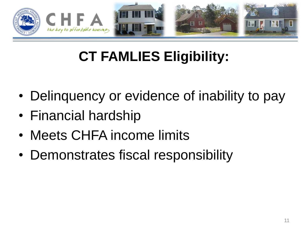

## **CT FAMLIES Eligibility:**

- Delinquency or evidence of inability to pay
- Financial hardship
- Meets CHFA income limits
- Demonstrates fiscal responsibility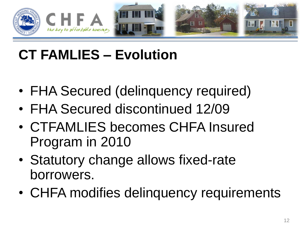

## **CT FAMLIES – Evolution**

- FHA Secured (delinquency required)
- FHA Secured discontinued 12/09
- CTFAMLIES becomes CHFA Insured Program in 2010
- Statutory change allows fixed-rate borrowers.
- CHFA modifies delinquency requirements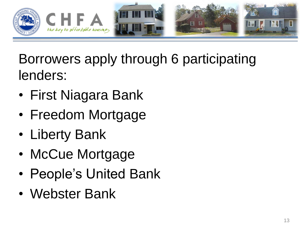

#### Borrowers apply through 6 participating lenders:

- First Niagara Bank
- Freedom Mortgage
- Liberty Bank
- McCue Mortgage
- People's United Bank
- Webster Bank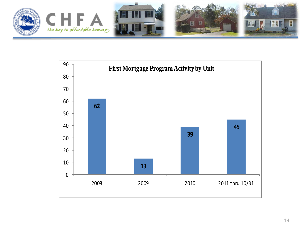

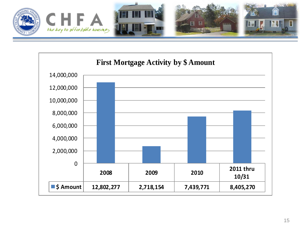

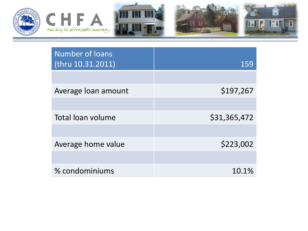

| <b>Number of loans</b><br>(thru 10.31.2011) | 159          |
|---------------------------------------------|--------------|
|                                             |              |
| Average loan amount                         | \$197,267    |
|                                             |              |
| Total loan volume                           | \$31,365,472 |
|                                             |              |
| Average home value                          | \$223,002    |
|                                             |              |
| % condominiums                              | 10.1%        |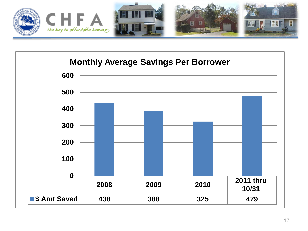

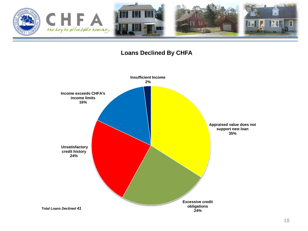

#### **Loans Declined By CHFA**

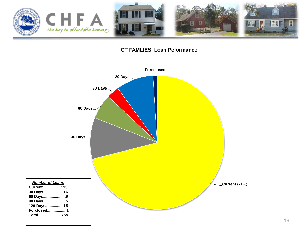



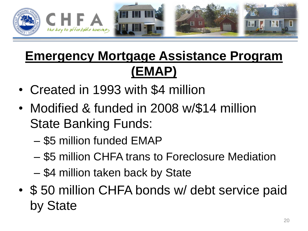

#### **Emergency Mortgage Assistance Program (EMAP)**

- Created in 1993 with \$4 million
- Modified & funded in 2008 w/\$14 million State Banking Funds:
	- \$5 million funded EMAP
	- \$5 million CHFA trans to Foreclosure Mediation
	- \$4 million taken back by State
- \$ 50 million CHFA bonds w/ debt service paid by State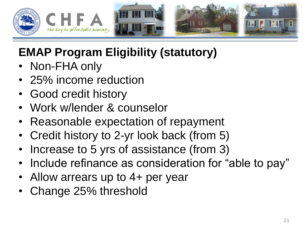

#### **EMAP Program Eligibility (statutory)**

- Non-FHA only
- 25% income reduction
- Good credit history
- Work w/lender & counselor
- Reasonable expectation of repayment
- Credit history to 2-yr look back (from 5)
- Increase to 5 yrs of assistance (from 3)
- Include refinance as consideration for "able to pay"
- Allow arrears up to 4+ per year
- Change 25% threshold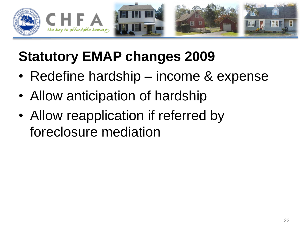

#### **Statutory EMAP changes 2009**

- Redefine hardship income & expense
- Allow anticipation of hardship
- Allow reapplication if referred by foreclosure mediation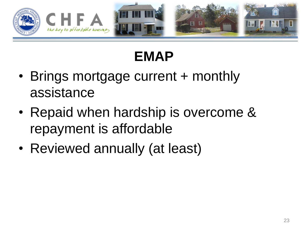

## **EMAP**

- Brings mortgage current + monthly assistance
- Repaid when hardship is overcome & repayment is affordable
- Reviewed annually (at least)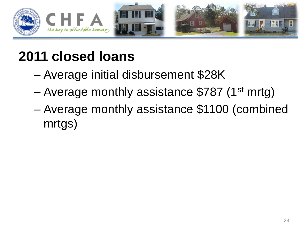

#### **2011 closed loans**

- Average initial disbursement \$28K
- Average monthly assistance \$787 (1st mrtg)
- Average monthly assistance \$1100 (combined mrtgs)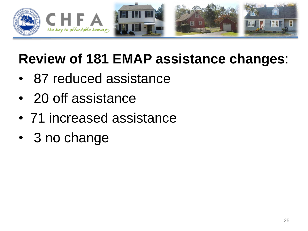

#### **Review of 181 EMAP assistance changes**:

- 87 reduced assistance
- 20 off assistance
- 71 increased assistance
- 3 no change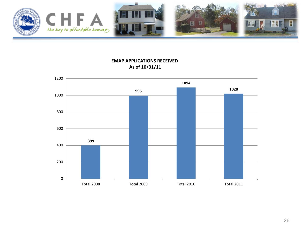

**EMAP APPLICATIONS RECEIVED As of 10/31/11** 

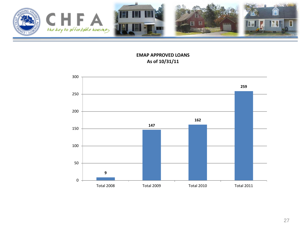

**EMAP APPROVED LOANS As of 10/31/11** 

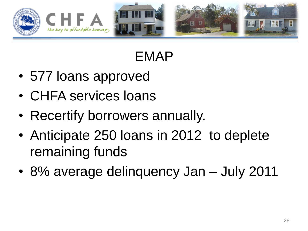

#### EMAP

- 577 loans approved
- CHFA services loans
- Recertify borrowers annually.
- Anticipate 250 loans in 2012 to deplete remaining funds
- 8% average delinquency Jan July 2011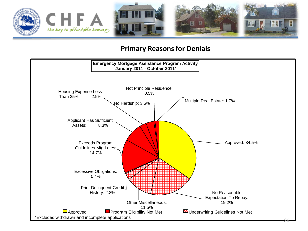

#### **Primary Reasons for Denials**

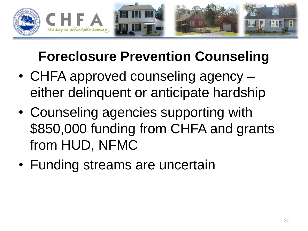

## **Foreclosure Prevention Counseling**

- CHFA approved counseling agency either delinquent or anticipate hardship
- Counseling agencies supporting with \$850,000 funding from CHFA and grants from HUD, NFMC
- Funding streams are uncertain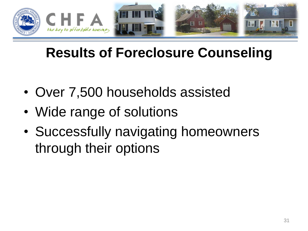

#### **Results of Foreclosure Counseling**

- Over 7,500 households assisted
- Wide range of solutions
- Successfully navigating homeowners through their options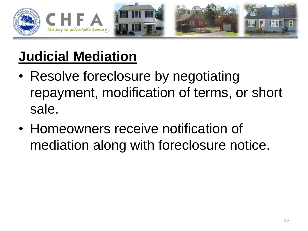

## **Judicial Mediation**

- Resolve foreclosure by negotiating repayment, modification of terms, or short sale.
- Homeowners receive notification of mediation along with foreclosure notice.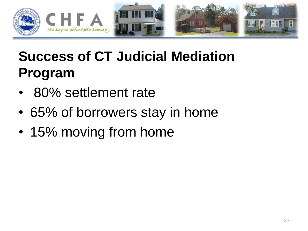

## **Success of CT Judicial Mediation Program**

- 80% settlement rate
- 65% of borrowers stay in home
- 15% moving from home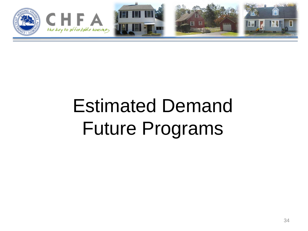

# Estimated Demand Future Programs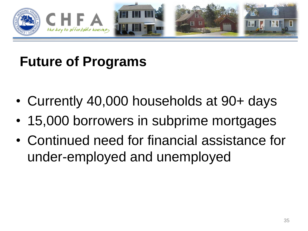

### **Future of Programs**

- Currently 40,000 households at 90+ days
- 15,000 borrowers in subprime mortgages
- Continued need for financial assistance for under-employed and unemployed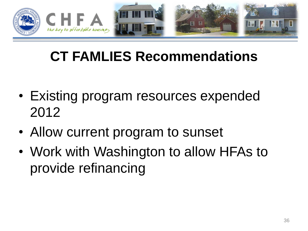

#### **CT FAMLIES Recommendations**

- Existing program resources expended 2012
- Allow current program to sunset
- Work with Washington to allow HFAs to provide refinancing